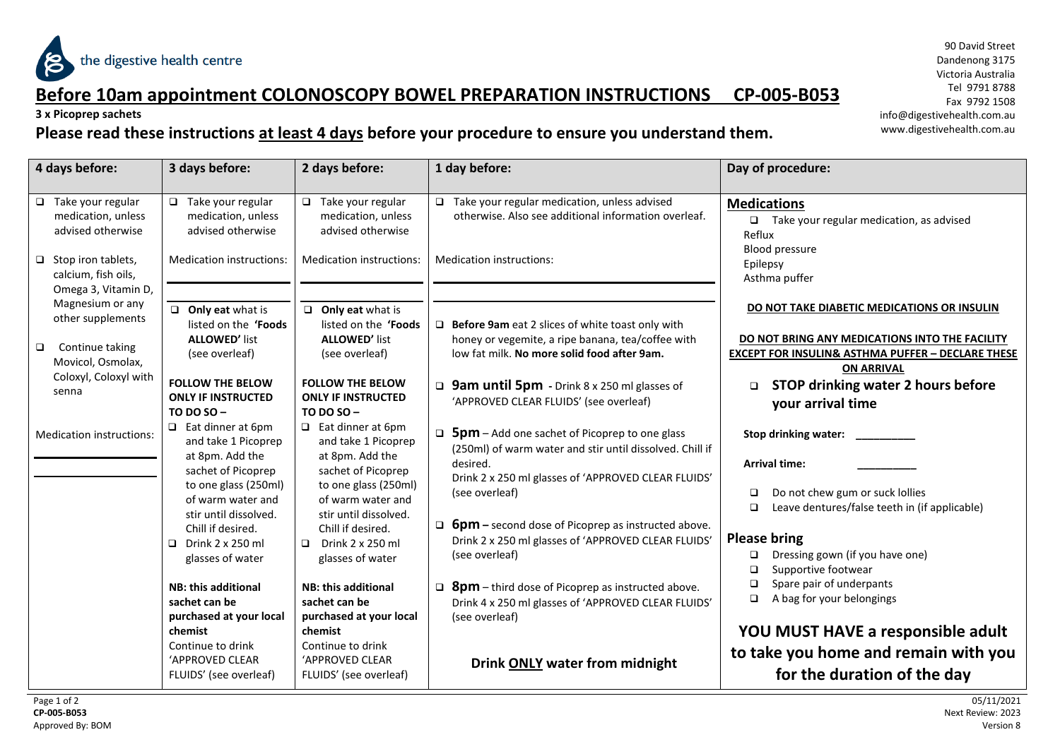

### **Before 10am appointment COLONOSCOPY BOWEL PREPARATION INSTRUCTIONS CP-005-B053**

**3 x Picoprep sachets**

#### **Please read these instructions at least 4 days before your procedure to ensure you understand them.**

90 David Street Dandenong 3175 Victoria Australia Tel 9791 8788 Fax 9792 1508 info@digestivehealth.com.au www.digestivehealth.com.au

| 4 days before:                                                                                                                          | 3 days before:                                                                                                                     | 2 days before:                                                                                                                     | 1 day before:                                                                                                                                                                                                                                                             | Day of procedure:                                                                                                                                                                  |
|-----------------------------------------------------------------------------------------------------------------------------------------|------------------------------------------------------------------------------------------------------------------------------------|------------------------------------------------------------------------------------------------------------------------------------|---------------------------------------------------------------------------------------------------------------------------------------------------------------------------------------------------------------------------------------------------------------------------|------------------------------------------------------------------------------------------------------------------------------------------------------------------------------------|
| $\Box$ Take your regular<br>medication, unless<br>advised otherwise<br>$\Box$ Stop iron tablets,<br>calcium, fish oils,                 | $\Box$ Take your regular<br>medication, unless<br>advised otherwise<br>Medication instructions:                                    | $\Box$ Take your regular<br>medication, unless<br>advised otherwise<br>Medication instructions:                                    | $\Box$ Take your regular medication, unless advised<br>otherwise. Also see additional information overleaf.<br><b>Medication instructions:</b>                                                                                                                            | <b>Medications</b><br>$\Box$ Take your regular medication, as advised<br>Reflux<br>Blood pressure<br>Epilepsy<br>Asthma puffer                                                     |
| Omega 3, Vitamin D,<br>Magnesium or any<br>other supplements<br>$\Box$<br>Continue taking<br>Movicol, Osmolax,<br>Coloxyl, Coloxyl with | $\Box$ Only eat what is<br>listed on the 'Foods<br><b>ALLOWED' list</b><br>(see overleaf)                                          | $\Box$ Only eat what is<br>listed on the 'Foods<br><b>ALLOWED' list</b><br>(see overleaf)                                          | $\Box$ Before 9am eat 2 slices of white toast only with<br>honey or vegemite, a ripe banana, tea/coffee with<br>low fat milk. No more solid food after 9am.                                                                                                               | DO NOT TAKE DIABETIC MEDICATIONS OR INSULIN<br>DO NOT BRING ANY MEDICATIONS INTO THE FACILITY<br><b>EXCEPT FOR INSULIN&amp; ASTHMA PUFFER - DECLARE THESE</b><br><b>ON ARRIVAL</b> |
| senna                                                                                                                                   | <b>FOLLOW THE BELOW</b><br><b>ONLY IF INSTRUCTED</b><br>TO DO SO-<br>$\Box$ Eat dinner at 6pm                                      | <b>FOLLOW THE BELOW</b><br><b>ONLY IF INSTRUCTED</b><br><b>TO DO SO-</b><br>$\Box$ Eat dinner at 6pm                               | <b>g</b> 9am until 5pm - Drink 8 x 250 ml glasses of<br>'APPROVED CLEAR FLUIDS' (see overleaf)<br>$\Box$                                                                                                                                                                  | <b>STOP drinking water 2 hours before</b><br>$\Box$<br>your arrival time                                                                                                           |
| Medication instructions:                                                                                                                | and take 1 Picoprep<br>at 8pm. Add the<br>sachet of Picoprep<br>to one glass (250ml)<br>of warm water and<br>stir until dissolved. | and take 1 Picoprep<br>at 8pm. Add the<br>sachet of Picoprep<br>to one glass (250ml)<br>of warm water and<br>stir until dissolved. | <b>5pm</b> – Add one sachet of Picoprep to one glass<br>(250ml) of warm water and stir until dissolved. Chill if<br>desired.<br>Drink 2 x 250 ml glasses of 'APPROVED CLEAR FLUIDS'<br>(see overleaf)<br>$\Box$ <b>6pm</b> – second dose of Picoprep as instructed above. | Stop drinking water:<br><b>Arrival time:</b><br>Do not chew gum or suck lollies<br>❏<br>Leave dentures/false teeth in (if applicable)<br>$\Box$                                    |
|                                                                                                                                         | Chill if desired.<br>Drink 2 x 250 ml<br>$\Box$<br>glasses of water                                                                | Chill if desired.<br>Drink 2 x 250 ml<br>$\Box$<br>glasses of water                                                                | Drink 2 x 250 ml glasses of 'APPROVED CLEAR FLUIDS'<br>(see overleaf)                                                                                                                                                                                                     | <b>Please bring</b><br>Dressing gown (if you have one)<br>❏<br>Supportive footwear<br>$\Box$                                                                                       |
|                                                                                                                                         | <b>NB: this additional</b><br>sachet can be<br>purchased at your local                                                             | <b>NB: this additional</b><br>sachet can be<br>purchased at your local                                                             | $\Box$ <b>8pm</b> – third dose of Picoprep as instructed above.<br>Drink 4 x 250 ml glasses of 'APPROVED CLEAR FLUIDS'<br>(see overleaf)                                                                                                                                  | Spare pair of underpants<br>❏<br>A bag for your belongings<br>▫                                                                                                                    |
|                                                                                                                                         | chemist<br>Continue to drink<br>'APPROVED CLEAR<br>FLUIDS' (see overleaf)                                                          | chemist<br>Continue to drink<br>'APPROVED CLEAR<br>FLUIDS' (see overleaf)                                                          | <b>Drink ONLY water from midnight</b>                                                                                                                                                                                                                                     | YOU MUST HAVE a responsible adult<br>to take you home and remain with you<br>for the duration of the day                                                                           |